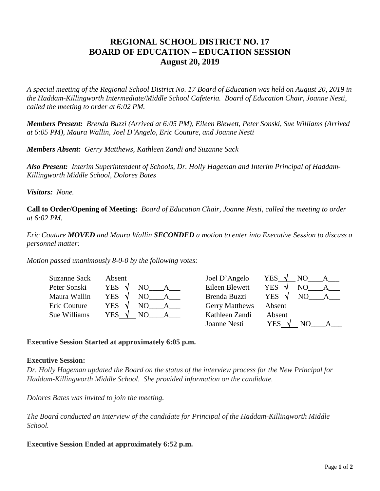# **REGIONAL SCHOOL DISTRICT NO. 17 BOARD OF EDUCATION – EDUCATION SESSION August 20, 2019**

*A special meeting of the Regional School District No. 17 Board of Education was held on August 20, 2019 in the Haddam-Killingworth Intermediate/Middle School Cafeteria. Board of Education Chair, Joanne Nesti, called the meeting to order at 6:02 PM.*

*Members Present: Brenda Buzzi (Arrived at 6:05 PM), Eileen Blewett, Peter Sonski, Sue Williams (Arrived at 6:05 PM), Maura Wallin, Joel D'Angelo, Eric Couture, and Joanne Nesti*

*Members Absent: Gerry Matthews, Kathleen Zandi and Suzanne Sack*

*Also Present: Interim Superintendent of Schools, Dr. Holly Hageman and Interim Principal of Haddam-Killingworth Middle School, Dolores Bates*

*Visitors: None.*

**Call to Order/Opening of Meeting:** *Board of Education Chair, Joanne Nesti, called the meeting to order at 6:02 PM.* 

*Eric Couture MOVED and Maura Wallin SECONDED a motion to enter into Executive Session to discuss a personnel matter:*

*Motion passed unanimously 8-0-0 by the following votes:*

| Suzanne Sack | Absent                 | Joel D'Angelo         | YES        |
|--------------|------------------------|-----------------------|------------|
| Peter Sonski | <b>YES</b><br>NO.<br>N | Eileen Blewett        | <b>YES</b> |
| Maura Wallin | YES<br>NО              | Brenda Buzzi          | <b>YES</b> |
| Eric Couture | <b>YES</b><br>NO       | <b>Gerry Matthews</b> | Absent     |
| Sue Williams | YES.<br>NO.            | Kathleen Zandi        | Absent     |
|              |                        | Joanne Nesti          | YES<br>N() |

# **Executive Session Started at approximately 6:05 p.m.**

### **Executive Session:**

*Dr. Holly Hageman updated the Board on the status of the interview process for the New Principal for Haddam-Killingworth Middle School. She provided information on the candidate.*

*Dolores Bates was invited to join the meeting.*

*The Board conducted an interview of the candidate for Principal of the Haddam-Killingworth Middle School.*

# **Executive Session Ended at approximately 6:52 p.m.**